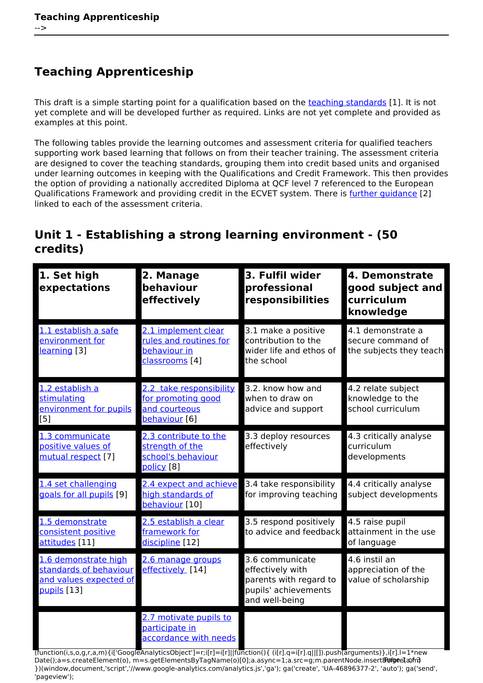# **Teaching Apprenticeship**

This draft is a simple starting point for a qualification based on the [teaching standards](http://bit.ly/wxsQiB) [1]. It is not yet complete and will be developed further as required. Links are not yet complete and provided as examples at this point.

The following tables provide the learning outcomes and assessment criteria for qualified teachers supporting work based learning that follows on from their teacher training. The assessment criteria are designed to cover the teaching standards, grouping them into credit based units and organised under learning outcomes in keeping with the Qualifications and Credit Framework. This then provides the option of providing a nationally accredited Diploma at QCF level 7 referenced to the European Qualifications Framework and providing credit in the ECVET system. There is [further guidance](https://theingots.org/community/NQTG) [2] linked to each of the assessment criteria.

#### **Unit 1 - Establishing a strong learning environment - (50 credits)**

| 1. Set high<br>expectations                                                             | 2. Manage<br>behaviour<br>effectively                                                                    | 3. Fulfil wider<br>professional<br>responsibilities                                                     | 4. Demonstrate<br>good subject and<br>curriculum<br>knowledge     |
|-----------------------------------------------------------------------------------------|----------------------------------------------------------------------------------------------------------|---------------------------------------------------------------------------------------------------------|-------------------------------------------------------------------|
| 1.1 establish a safe<br>environment for<br>learning [3]                                 | 2.1 implement clear<br>rules and routines for<br>behaviour in<br>classrooms [4]                          | 3.1 make a positive<br>contribution to the<br>wider life and ethos of<br>the school                     | 4.1 demonstrate a<br>secure command of<br>the subjects they teach |
| 1.2 establish a<br>stimulating<br>environment for pupils<br>[5]                         | 2.2 take responsibility<br>for promoting good<br>and courteous<br>behaviour [6]                          | 3.2. know how and<br>when to draw on<br>advice and support                                              | 4.2 relate subject<br>knowledge to the<br>school curriculum       |
| 1.3 communicate<br>positive values of<br>mutual respect [7]                             | 2.3 contribute to the<br>strenath of the<br>school's behaviour<br>policy [8]                             | 3.3 deploy resources<br>effectively                                                                     | 4.3 critically analyse<br>curriculum<br>developments              |
| 1.4 set challenging<br>goals for all pupils [9]                                         | 2.4 expect and achieve<br>high standards of<br>behaviour [10]                                            | 3.4 take responsibility<br>for improving teaching                                                       | 4.4 critically analyse<br>subject developments                    |
| 1.5 demonstrate<br>consistent positive<br>attitudes [11]                                | 2.5 establish a clear<br>framework for<br>discipline [12]                                                | 3.5 respond positively<br>to advice and feedback                                                        | 4.5 raise pupil<br>attainment in the use<br>of language           |
| 1.6 demonstrate high<br>standards of behaviour<br>and values expected of<br>pupils [13] | 2.6 manage groups<br>effectively [14]                                                                    | 3.6 communicate<br>effectively with<br>parents with regard to<br>pupils' achievements<br>and well-being | 4.6 instil an<br>appreciation of the<br>value of scholarship      |
|                                                                                         | 2.7 motivate pupils to<br>participate in<br>accordance with needs<br>that contribution is that intration | $-11 - 1000$ for $11000$ $-11$                                                                          |                                                                   |

(function(i,s,o,g,r,a,m){i['GoogleAnalyticsObject']=r;i[r]=i[r]||function(){ (i[r].q=i[r].q||[]).push(arguments)},i[r].l=1\*new Date();a=s.createElement(o), m=s.getElementsByTagName(o)[0];a.async=1;a.src=g;m.parentNode.insert**Bහ@e**e(a,mf) })(window,document,'script','//www.google-analytics.com/analytics.js','ga'); ga('create', 'UA-46896377-2', 'auto'); ga('send', 'pageview');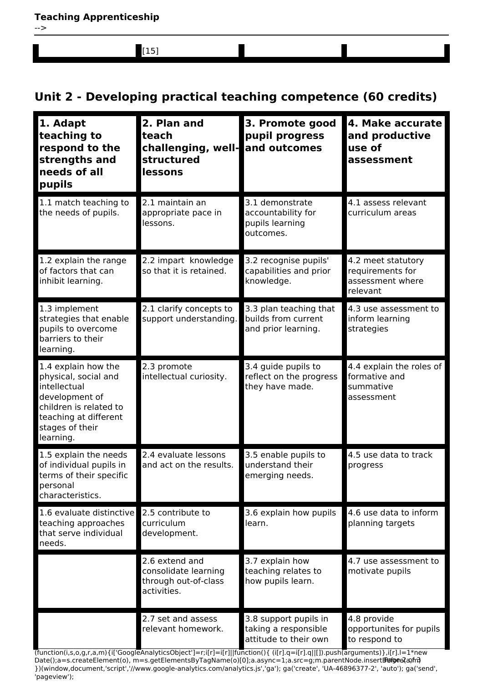[15]

## **Unit 2 - Developing practical teaching competence (60 credits)**

| 1. Adapt<br>teaching to<br>respond to the<br>strengths and<br>needs of all<br>pupils                                                                             | 2. Plan and<br>teach<br>challenging, well-and outcomes<br>structured<br>lessons | 3. Promote good<br>pupil progress                                                                                                                                                                                                                               | 4. Make accurate<br>and productive<br>use of<br>assessment             |
|------------------------------------------------------------------------------------------------------------------------------------------------------------------|---------------------------------------------------------------------------------|-----------------------------------------------------------------------------------------------------------------------------------------------------------------------------------------------------------------------------------------------------------------|------------------------------------------------------------------------|
| 1.1 match teaching to<br>the needs of pupils.                                                                                                                    | 2.1 maintain an<br>appropriate pace in<br>lessons.                              | 3.1 demonstrate<br>accountability for<br>pupils learning<br>outcomes.                                                                                                                                                                                           | 4.1 assess relevant<br>curriculum areas                                |
| 1.2 explain the range<br>of factors that can<br>inhibit learning.                                                                                                | 2.2 impart knowledge<br>so that it is retained.                                 | 3.2 recognise pupils'<br>capabilities and prior<br>knowledge.                                                                                                                                                                                                   | 4.2 meet statutory<br>requirements for<br>assessment where<br>relevant |
| 1.3 implement<br>strategies that enable<br>pupils to overcome<br>barriers to their<br>learning.                                                                  | 2.1 clarify concepts to<br>support understanding.                               | 3.3 plan teaching that<br>builds from current<br>and prior learning.                                                                                                                                                                                            | 4.3 use assessment to<br>inform learning<br>strategies                 |
| 1.4 explain how the<br>physical, social and<br>intellectual<br>development of<br>children is related to<br>teaching at different<br>stages of their<br>learning. | 2.3 promote<br>intellectual curiosity.                                          | 3.4 guide pupils to<br>reflect on the progress<br>they have made.                                                                                                                                                                                               | 4.4 explain the roles of<br>formative and<br>summative<br>assessment   |
| 1.5 explain the needs<br>of individual pupils in<br>terms of their specific<br>personal<br>characteristics.                                                      | 2.4 evaluate lessons<br>and act on the results.                                 | 3.5 enable pupils to<br>understand their<br>emerging needs.                                                                                                                                                                                                     | 4.5 use data to track<br>progress                                      |
| 1.6 evaluate distinctive<br>teaching approaches<br>that serve individual<br>needs.                                                                               | 2.5 contribute to<br>curriculum<br>development.                                 | 3.6 explain how pupils<br>learn.                                                                                                                                                                                                                                | 4.6 use data to inform<br>planning targets                             |
|                                                                                                                                                                  | 2.6 extend and<br>consolidate learning<br>through out-of-class<br>activities.   | 3.7 explain how<br>teaching relates to<br>how pupils learn.                                                                                                                                                                                                     | 4.7 use assessment to<br>motivate pupils                               |
|                                                                                                                                                                  | 2.7 set and assess<br>relevant homework.                                        | 3.8 support pupils in<br>taking a responsible<br>attitude to their own<br>$[function(i, s, o, a, r, a, m) \{i'\}$ (soode Analytics Object') = r; i[r] = i[r]     function() { (i[r], $a =$ i[r], $a$   []), push $\overline{a}$ rguments) }, i[r], $l = 1$ *new | 4.8 provide<br>opportunites for pupils<br>to respond to                |

,m){i['GoogleAnalyticsObject']=r;i[r]=i[r]||function(){ (i[r].q=i[r].q||[]).push(arguments)},i[r]. Date();a=s.createElement(o), m=s.getElementsByTagName(o)[0];a.async=1;a.src=g;m.parentNode.insert**Bණිඥය(**a)m })(window,document,'script','//www.google-analytics.com/analytics.js','ga'); ga('create', 'UA-46896377-2', 'auto'); ga('send', 'pageview'); Pagee?ann